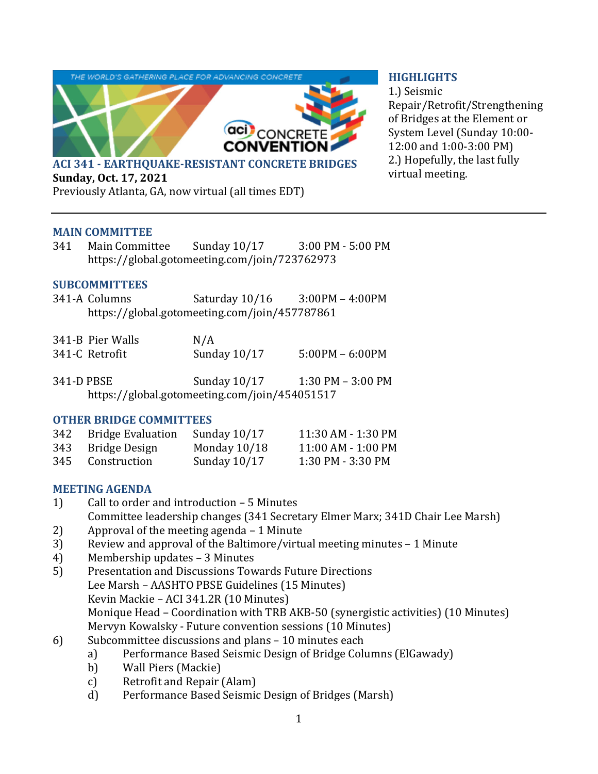

#### **HIGHLIGHTS**

1.) Seismic Repair/Retrofit/Strengthening of Bridges at the Element or System Level (Sunday 10:00- 12:00 and 1:00-3:00 PM) 2.) Hopefully, the last fully virtual meeting.

**Sunday, Oct. 17, 2021**

Previously Atlanta, GA, now virtual (all times EDT)

### **MAIN COMMITTEE**

341 Main Committee Sunday 10/17 3:00 PM - 5:00 PM https://global.gotomeeting.com/join/723762973

# **SUBCOMMITTEES**

341-A Columns Saturday 10/16 3:00PM – 4:00PM https://global.gotomeeting.com/join/457787861

| 341-B Pier Walls | N/A            |                   |
|------------------|----------------|-------------------|
| 341-C Retrofit   | Sunday $10/17$ | $5:00PM - 6:00PM$ |

341-D PBSE Sunday 10/17 1:30 PM – 3:00 PM https://global.gotomeeting.com/join/454051517

### **OTHER BRIDGE COMMITTEES**

| 342 Bridge Evaluation | Sunday $10/17$ | 11:30 AM - 1:30 PM |
|-----------------------|----------------|--------------------|
| 343 Bridge Design     | Monday $10/18$ | 11:00 AM - 1:00 PM |
| 345 Construction      | Sunday $10/17$ | 1:30 PM - 3:30 PM  |

### **MEETING AGENDA**

- 1) Call to order and introduction 5 Minutes Committee leadership changes (341 Secretary Elmer Marx; 341D Chair Lee Marsh)
- 2) Approval of the meeting agenda 1 Minute
- 3) Review and approval of the Baltimore/virtual meeting minutes 1 Minute
- 4) Membership updates 3 Minutes
- 5) Presentation and Discussions Towards Future Directions Lee Marsh – AASHTO PBSE Guidelines (15 Minutes) Kevin Mackie – ACI 341.2R (10 Minutes) Monique Head – Coordination with TRB AKB-50 (synergistic activities) (10 Minutes) Mervyn Kowalsky - Future convention sessions (10 Minutes)
- 6) Subcommittee discussions and plans 10 minutes each
	- a) Performance Based Seismic Design of Bridge Columns (ElGawady)
	- b) Wall Piers (Mackie)
	- c) Retrofit and Repair (Alam)
	- d) Performance Based Seismic Design of Bridges (Marsh)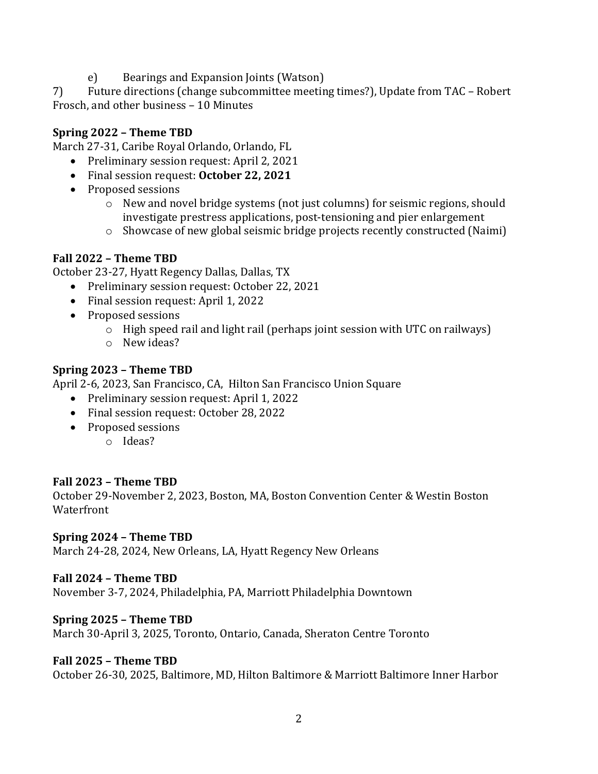e) Bearings and Expansion Joints (Watson)

7) Future directions (change subcommittee meeting times?), Update from TAC – Robert Frosch, and other business – 10 Minutes

# **Spring 2022 – Theme TBD**

March 27-31, Caribe Royal Orlando, Orlando, FL

- Preliminary session request: April 2, 2021
- Final session request: **October 22, 2021**
- Proposed sessions
	- o New and novel bridge systems (not just columns) for seismic regions, should investigate prestress applications, post-tensioning and pier enlargement
	- o Showcase of new global seismic bridge projects recently constructed (Naimi)

# **Fall 2022 – Theme TBD**

October 23-27, Hyatt Regency Dallas, Dallas, TX

- Preliminary session request: October 22, 2021
- Final session request: April 1, 2022
- Proposed sessions
	- o High speed rail and light rail (perhaps joint session with UTC on railways)
	- o New ideas?

# **Spring 2023 – Theme TBD**

April 2-6, 2023, San Francisco, CA, Hilton San Francisco Union Square

- Preliminary session request: April 1, 2022
- Final session request: October 28, 2022
- Proposed sessions
	- o Ideas?

### **Fall 2023 – Theme TBD**

October 29-November 2, 2023, Boston, MA, Boston Convention Center & Westin Boston Waterfront

### **Spring 2024 – Theme TBD**

March 24-28, 2024, New Orleans, LA, Hyatt Regency New Orleans

### **Fall 2024 – Theme TBD**

November 3-7, 2024, Philadelphia, PA, Marriott Philadelphia Downtown

### **Spring 2025 – Theme TBD**

March 30-April 3, 2025, Toronto, Ontario, Canada, Sheraton Centre Toronto

### **Fall 2025 – Theme TBD**

October 26-30, 2025, Baltimore, MD, Hilton Baltimore & Marriott Baltimore Inner Harbor